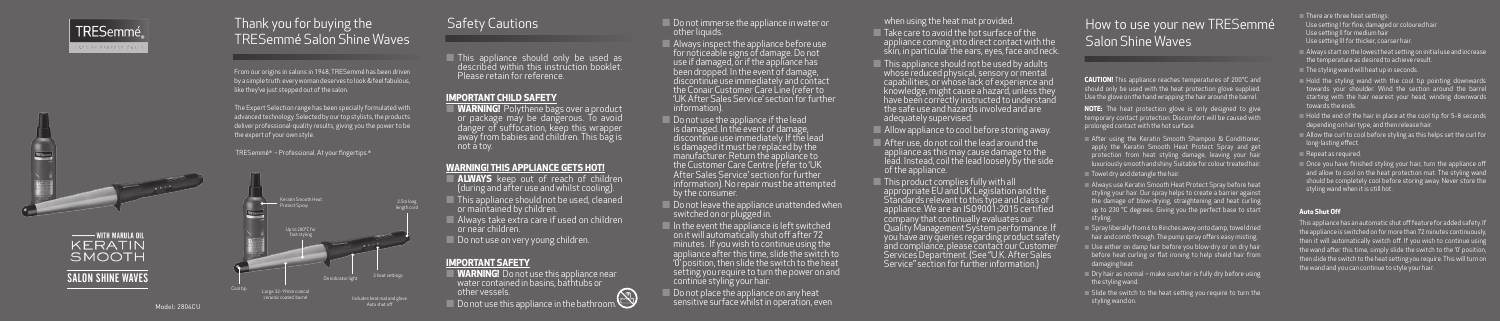

# How to use your new TRESemmé Salon Shine Waves

From our origins in salons in 1948, TRESemmé has been driven by a simple truth: every woman deserves to look & feel fabulous, like they've just stepped out of the salon.

> **NOTE:** The heat protection glove is only designed to give temporary contact protection. Discomfort will be caused with prolonged contact with the hot surface.

The Expert Selection range has been specially formulated with advanced technology. Selected by our top stylists, the products deliver professional-quality results, giving you the power to be the expert of your own style.

TRESemmé® – Professional. At your fingertips.®

**CAUTION!** This appliance reaches temperatures of 200°C and should only be used with the heat protection glove supplied. Use the glove on the hand wrapping the hair around the barrel.

 After using the Keratin Smooth Shampoo & Conditioner, apply the Keratin Smooth Heat Protect Spray and get protection from heat styling damage, leaving your hair luxuriously smooth and shiny. Suitable for colour treated hair.

 $\blacksquare$  Towel dry and detangle the hair.

- **ALWAYS** keep out of reach of children (during and after use and whilst cooling).
- This appliance should not be used, cleaned or maintained by children.
- $\Box$  Always take extra care if used on children or near children.
- **Do** not use on very young children.

Do not immerse the appliance in water or other liquids.

- Always use Keratin Smooth Heat Protect Spray before heat styling your hair. Our spray helps to create a barrier against the damage of blow-drying, straightening and heat curling up to 230 °C degrees. Giving you the perfect base to start styling.
- Spray liberally from 6 to 8 inches away onto damp, towel dried hair and comb through. The pump spray offers easy misting.
- Use either on damp hair before you blow-dry or on dry hair before heat curling or flat ironing to help shield hair from damaging heat.
- $\Box$  Dry hair as normal make sure hair is fully dry before using the styling wand.
- $\Box$  Slide the switch to the heat setting you require to turn the styling wand on.

Do not leave the appliance unattended when switched on or plugged in.



 $\blacksquare$  In the event the appliance is left switched on it will automatically shut off after 72 minutes. If you wish to continue using the appliance after this time, slide the switch to '0' position, then slide the switch to the heat setting you require to turn the power on and continue styling your hair.

Do not place the appliance on any heat sensitive surface whilst in operation, even

## Safety Cautions

Take care to avoid the hot surface of the appliance coming into direct contact with the skin, in particular the ears, eyes, face and neck.

 This appliance should only be used as described within this instruction booklet. Please retain for reference.

## **IMPORTANT CHILD SAFETY**

This appliance should not be used by adults whose reduced physical, sensory or mental capabilities, or whose lack of experience and knowledge, might cause a hazard, unless they have been correctly instructed to understand the safe use and hazards involved and are adequately supervised.

Allow appliance to cool before storing away.

 **WARNING!** Polythene bags over a product or package may be dangerous. To avoid danger of suffocation, keep this wrapper away from babies and children. This bag is not a toy.

## **WARNING! THIS APPLIANCE GETS HOT!**

## **IMPORTANT SAFETY**

- **WARNING!** Do not use this appliance near water contained in basins, bathtubs or other vessels.
- Do not use this appliance in the bathroom.

 Always inspect the appliance before use for noticeable signs of damage. Do not use if damaged, or if the appliance has been dropped. In the event of damage, discontinue use immediately and contact the Conair Customer Care Line (refer to 'UK After Sales Service' section for further information).

 $\Box$  Do not use the appliance if the lead is damaged. In the event of damage, discontinue use immediately. If the lead is damaged it must be replaced by the manufacturer. Return the appliance to the Customer Care Centre (refer to 'UK After Sales Service' section for further information). No repair must be attempted by the consumer.

- $\blacksquare$  There are three heat settings: Use setting I for fine, damaged or coloured hair Use setting II for medium hair Use setting III for thicker, coarser hair.
- Always start on the lowest heat setting on initial use and increase the temperature as desired to achieve result.
- $\blacksquare$  The styling wand will heat up in seconds.
- $\Box$  Hold the styling wand with the cool tip pointing downwards towards your shoulder. Wind the section around the barrel starting with the hair nearest your head, winding downwards towards the ends.
- 
- long-lasting effect.
- Repeat as required.
- styling wand when it is still hot.

when using the heat mat provided.

- After use, do not coil the lead around the appliance as this may cause damage to the lead. Instead, coil the lead loosely by the side of the appliance.
- This product complies fully with all appropriate EU and UK Legislation and the Standards relevant to this type and class of appliance. We are an ISO9001:2015 certified company that continually evaluates our Quality Management System performance. If you have any queries regarding product safety and compliance, please contact our Customer Services Department. (See "U.K. After Sales Service" section for further information.)

Model: 2804CU

## TRESemmé ED BY PROFESSIONA





## SALON SHINE WAVES

## **Auto Shut Off**

- Hold the end of the hair in place at the cool tip for 5-8 seconds depending on hair type, and then release hair.
- $\Box$  Allow the curl to cool before styling as this helps set the curl for

- Once you have finished styling your hair, turn the appliance off and allow to cool on the heat protection mat. The styling wand should be completely cool before storing away. Never store the
- This appliance has an automatic shut off feature for added safety. If the appliance is switched on for more than 72 minutes continuously, then it will automatically switch off. If you wish to continue using the wand after this time, simply slide the switch to the '0' position, then slide the switch to the heat setting you require. This will turn on the wand and you can continue to style your hair.